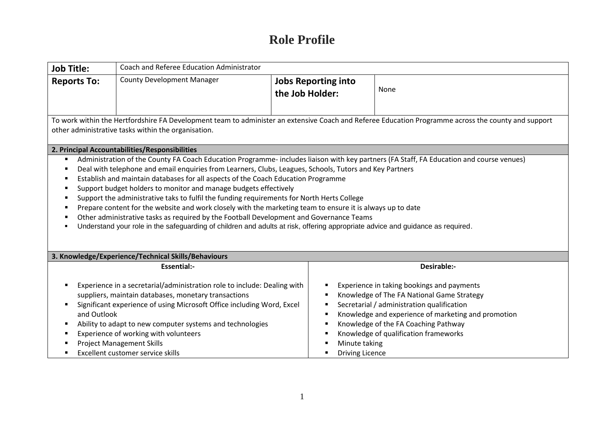## **Role Profile**

| Coach and Referee Education Administrator<br><b>Job Title:</b>                                                                                                                                                                                                                                                                                                                                                                                                                                                                                                                                                                                                                                            |                                                                                                                                                                                                                                                                                                                                                                                                          |                                               |                                                                                                                                                                                                                                                                                |  |  |
|-----------------------------------------------------------------------------------------------------------------------------------------------------------------------------------------------------------------------------------------------------------------------------------------------------------------------------------------------------------------------------------------------------------------------------------------------------------------------------------------------------------------------------------------------------------------------------------------------------------------------------------------------------------------------------------------------------------|----------------------------------------------------------------------------------------------------------------------------------------------------------------------------------------------------------------------------------------------------------------------------------------------------------------------------------------------------------------------------------------------------------|-----------------------------------------------|--------------------------------------------------------------------------------------------------------------------------------------------------------------------------------------------------------------------------------------------------------------------------------|--|--|
| <b>Reports To:</b>                                                                                                                                                                                                                                                                                                                                                                                                                                                                                                                                                                                                                                                                                        | <b>County Development Manager</b>                                                                                                                                                                                                                                                                                                                                                                        | <b>Jobs Reporting into</b><br>the Job Holder: | None                                                                                                                                                                                                                                                                           |  |  |
| To work within the Hertfordshire FA Development team to administer an extensive Coach and Referee Education Programme across the county and support<br>other administrative tasks within the organisation.                                                                                                                                                                                                                                                                                                                                                                                                                                                                                                |                                                                                                                                                                                                                                                                                                                                                                                                          |                                               |                                                                                                                                                                                                                                                                                |  |  |
| 2. Principal Accountabilities/Responsibilities<br>Administration of the County FA Coach Education Programme- includes liaison with key partners (FA Staff, FA Education and course venues)                                                                                                                                                                                                                                                                                                                                                                                                                                                                                                                |                                                                                                                                                                                                                                                                                                                                                                                                          |                                               |                                                                                                                                                                                                                                                                                |  |  |
| Deal with telephone and email enquiries from Learners, Clubs, Leagues, Schools, Tutors and Key Partners<br>Establish and maintain databases for all aspects of the Coach Education Programme<br>Support budget holders to monitor and manage budgets effectively<br>Support the administrative taks to fulfil the funding requirements for North Herts College<br>Prepare content for the website and work closely with the marketing team to ensure it is always up to date<br>Other administrative tasks as required by the Football Development and Governance Teams<br>Understand your role in the safeguarding of children and adults at risk, offering appropriate advice and guidance as required. |                                                                                                                                                                                                                                                                                                                                                                                                          |                                               |                                                                                                                                                                                                                                                                                |  |  |
| 3. Knowledge/Experience/Technical Skills/Behaviours                                                                                                                                                                                                                                                                                                                                                                                                                                                                                                                                                                                                                                                       |                                                                                                                                                                                                                                                                                                                                                                                                          |                                               |                                                                                                                                                                                                                                                                                |  |  |
|                                                                                                                                                                                                                                                                                                                                                                                                                                                                                                                                                                                                                                                                                                           | <b>Essential:-</b>                                                                                                                                                                                                                                                                                                                                                                                       |                                               | Desirable:-                                                                                                                                                                                                                                                                    |  |  |
| ٠                                                                                                                                                                                                                                                                                                                                                                                                                                                                                                                                                                                                                                                                                                         | Experience in a secretarial/administration role to include: Dealing with<br>suppliers, maintain databases, monetary transactions<br>Significant experience of using Microsoft Office including Word, Excel<br>and Outlook<br>Ability to adapt to new computer systems and technologies<br>Experience of working with volunteers<br><b>Project Management Skills</b><br>Excellent customer service skills | Minute taking<br><b>Driving Licence</b>       | Experience in taking bookings and payments<br>Knowledge of The FA National Game Strategy<br>Secretarial / administration qualification<br>Knowledge and experience of marketing and promotion<br>Knowledge of the FA Coaching Pathway<br>Knowledge of qualification frameworks |  |  |